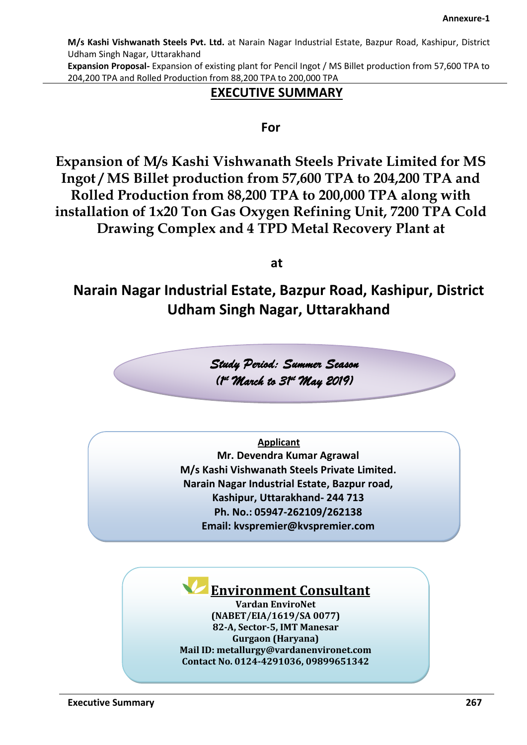**Expansion Proposal-** Expansion of existing plant for Pencil Ingot / MS Billet production from 57,600 TPA to 204,200 TPA and Rolled Production from 88,200 TPA to 200,000 TPA

# **EXECUTIVE SUMMARY**

# **For**

**Expansion of M/s Kashi Vishwanath Steels Private Limited for MS Ingot / MS Billet production from 57,600 TPA to 204,200 TPA and Rolled Production from 88,200 TPA to 200,000 TPA along with installation of 1x20 Ton Gas Oxygen Refining Unit, 7200 TPA Cold Drawing Complex and 4 TPD Metal Recovery Plant at** 

**at**

**Narain Nagar Industrial Estate, Bazpur Road, Kashipur, District Udham Singh Nagar, Uttarakhand**

> *Study Period: Summer Season (1 st March to 31st May 2019)*

> > **Applicant**

**Mr. Devendra Kumar Agrawal M/s Kashi Vishwanath Steels Private Limited. Narain Nagar Industrial Estate, Bazpur road, Kashipur, Uttarakhand- 244 713 Ph. No.: 05947-262109/262138 Email: kvspremier@kvspremier.com**

# **Environment Consultant**

**Vardan EnviroNet (NABET/EIA/1619/SA 0077) 82-A, Sector-5, IMT Manesar Gurgaon (Haryana) Mail ID: metallurgy@vardanenvironet.com Contact No. 0124-4291036, 09899651342**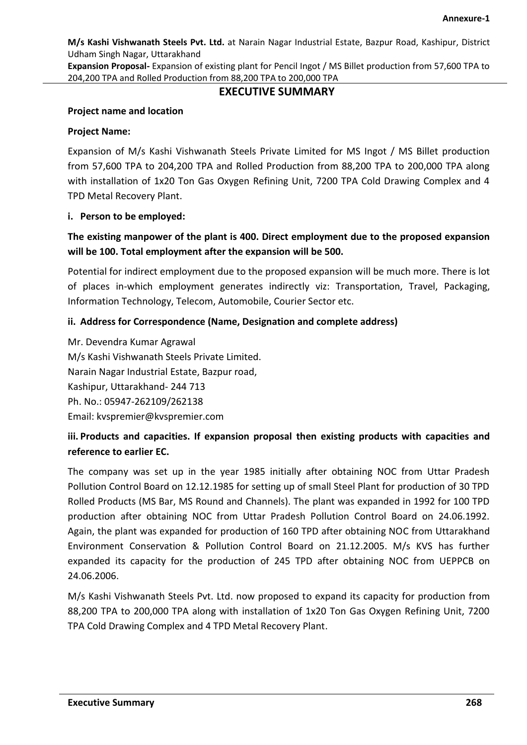**Expansion Proposal-** Expansion of existing plant for Pencil Ingot / MS Billet production from 57,600 TPA to 204,200 TPA and Rolled Production from 88,200 TPA to 200,000 TPA

# **EXECUTIVE SUMMARY**

#### **Project name and location**

#### **Project Name:**

Expansion of M/s Kashi Vishwanath Steels Private Limited for MS Ingot / MS Billet production from 57,600 TPA to 204,200 TPA and Rolled Production from 88,200 TPA to 200,000 TPA along with installation of 1x20 Ton Gas Oxygen Refining Unit, 7200 TPA Cold Drawing Complex and 4 TPD Metal Recovery Plant.

#### **i. Person to be employed:**

# **The existing manpower of the plant is 400. Direct employment due to the proposed expansion will be 100. Total employment after the expansion will be 500.**

Potential for indirect employment due to the proposed expansion will be much more. There is lot of places in-which employment generates indirectly viz: Transportation, Travel, Packaging, Information Technology, Telecom, Automobile, Courier Sector etc.

## **ii. Address for Correspondence (Name, Designation and complete address)**

Mr. Devendra Kumar Agrawal M/s Kashi Vishwanath Steels Private Limited. Narain Nagar Industrial Estate, Bazpur road, Kashipur, Uttarakhand- 244 713 Ph. No.: 05947-262109/262138 Email: kvspremier@kvspremier.com

# **iii. Products and capacities. If expansion proposal then existing products with capacities and reference to earlier EC.**

The company was set up in the year 1985 initially after obtaining NOC from Uttar Pradesh Pollution Control Board on 12.12.1985 for setting up of small Steel Plant for production of 30 TPD Rolled Products (MS Bar, MS Round and Channels). The plant was expanded in 1992 for 100 TPD production after obtaining NOC from Uttar Pradesh Pollution Control Board on 24.06.1992. Again, the plant was expanded for production of 160 TPD after obtaining NOC from Uttarakhand Environment Conservation & Pollution Control Board on 21.12.2005. M/s KVS has further expanded its capacity for the production of 245 TPD after obtaining NOC from UEPPCB on 24.06.2006.

M/s Kashi Vishwanath Steels Pvt. Ltd. now proposed to expand its capacity for production from 88,200 TPA to 200,000 TPA along with installation of 1x20 Ton Gas Oxygen Refining Unit, 7200 TPA Cold Drawing Complex and 4 TPD Metal Recovery Plant.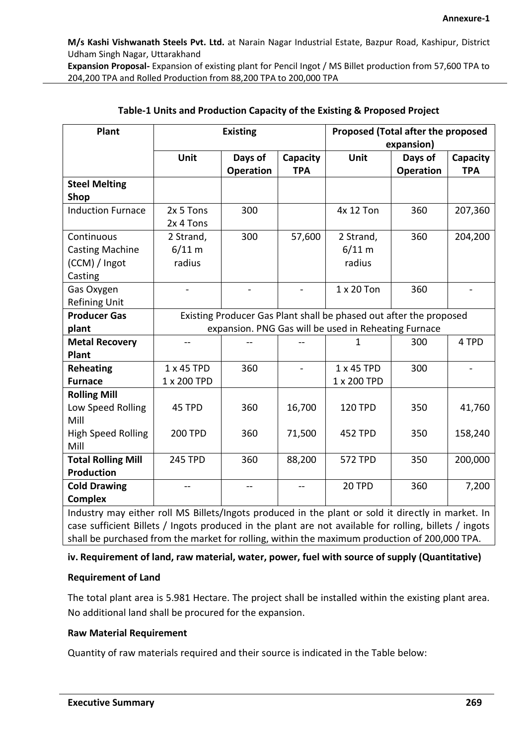**Expansion Proposal-** Expansion of existing plant for Pencil Ingot / MS Billet production from 57,600 TPA to 204,200 TPA and Rolled Production from 88,200 TPA to 200,000 TPA

| Plant                                                                                                  |                | <b>Existing</b>  |                | Proposed (Total after the proposed                                 |            |            |
|--------------------------------------------------------------------------------------------------------|----------------|------------------|----------------|--------------------------------------------------------------------|------------|------------|
|                                                                                                        |                |                  |                |                                                                    | expansion) |            |
|                                                                                                        | Unit           | Days of          | Capacity       | <b>Unit</b>                                                        | Days of    | Capacity   |
|                                                                                                        |                | <b>Operation</b> | <b>TPA</b>     |                                                                    | Operation  | <b>TPA</b> |
| <b>Steel Melting</b>                                                                                   |                |                  |                |                                                                    |            |            |
| Shop                                                                                                   |                |                  |                |                                                                    |            |            |
| <b>Induction Furnace</b>                                                                               | 2x 5 Tons      | 300              |                | 4x 12 Ton                                                          | 360        | 207,360    |
|                                                                                                        | 2x 4 Tons      |                  |                |                                                                    |            |            |
| Continuous                                                                                             | 2 Strand,      | 300              | 57,600         | 2 Strand,                                                          | 360        | 204,200    |
| <b>Casting Machine</b>                                                                                 | 6/11 m         |                  |                | 6/11 m                                                             |            |            |
| (CCM) / Ingot                                                                                          | radius         |                  |                | radius                                                             |            |            |
| Casting                                                                                                |                |                  |                |                                                                    |            |            |
| Gas Oxygen                                                                                             |                |                  |                | 1 x 20 Ton                                                         | 360        |            |
| <b>Refining Unit</b>                                                                                   |                |                  |                |                                                                    |            |            |
| <b>Producer Gas</b>                                                                                    |                |                  |                | Existing Producer Gas Plant shall be phased out after the proposed |            |            |
| plant                                                                                                  |                |                  |                | expansion. PNG Gas will be used in Reheating Furnace               |            |            |
| <b>Metal Recovery</b>                                                                                  |                |                  |                | 1                                                                  | 300        | 4 TPD      |
| Plant                                                                                                  |                |                  |                |                                                                    |            |            |
| <b>Reheating</b>                                                                                       | 1 x 45 TPD     | 360              | $\blacksquare$ | 1 x 45 TPD                                                         | 300        |            |
| <b>Furnace</b>                                                                                         | 1 x 200 TPD    |                  |                | 1 x 200 TPD                                                        |            |            |
| <b>Rolling Mill</b>                                                                                    |                |                  |                |                                                                    |            |            |
| Low Speed Rolling                                                                                      | 45 TPD         | 360              | 16,700         | <b>120 TPD</b>                                                     | 350        | 41,760     |
| Mill                                                                                                   |                |                  |                |                                                                    |            |            |
| <b>High Speed Rolling</b>                                                                              | <b>200 TPD</b> | 360              | 71,500         | <b>452 TPD</b>                                                     | 350        | 158,240    |
| Mill                                                                                                   |                |                  |                |                                                                    |            |            |
| <b>Total Rolling Mill</b>                                                                              | <b>245 TPD</b> | 360              | 88,200         | 572 TPD                                                            | 350        | 200,000    |
| <b>Production</b>                                                                                      |                |                  |                |                                                                    |            |            |
| <b>Cold Drawing</b>                                                                                    | $-$            | $-$              | $\overline{a}$ | 20 TPD                                                             | 360        | 7,200      |
| <b>Complex</b>                                                                                         |                |                  |                |                                                                    |            |            |
| Industry may either roll MS Billets/Ingots produced in the plant or sold it directly in market. In     |                |                  |                |                                                                    |            |            |
| case sufficient Billets / Ingots produced in the plant are not available for rolling, billets / ingots |                |                  |                |                                                                    |            |            |
| shall be purchased from the market for rolling, within the maximum production of 200,000 TPA.          |                |                  |                |                                                                    |            |            |

## **Table-1 Units and Production Capacity of the Existing & Proposed Project**

## **iv. Requirement of land, raw material, water, power, fuel with source of supply (Quantitative)**

#### **Requirement of Land**

The total plant area is 5.981 Hectare. The project shall be installed within the existing plant area. No additional land shall be procured for the expansion.

#### **Raw Material Requirement**

Quantity of raw materials required and their source is indicated in the Table below: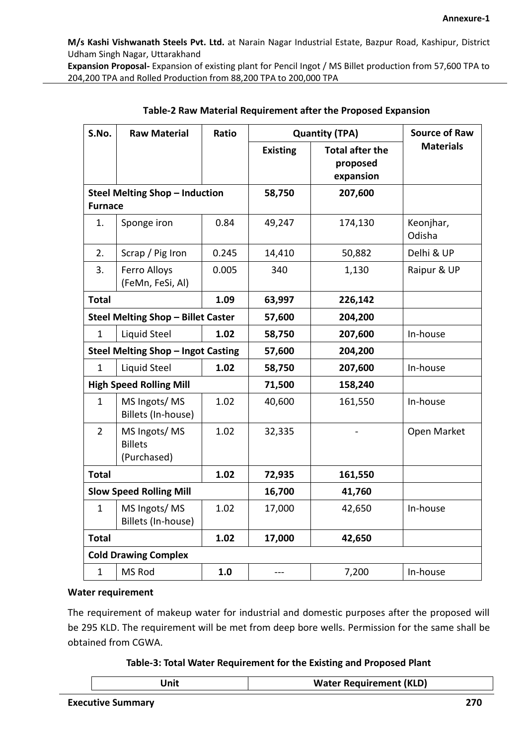**Expansion Proposal-** Expansion of existing plant for Pencil Ingot / MS Billet production from 57,600 TPA to 204,200 TPA and Rolled Production from 88,200 TPA to 200,000 TPA

| S.No.                                                   | <b>Raw Material</b>                           | Ratio | <b>Quantity (TPA)</b> |                                                 | <b>Source of Raw</b> |
|---------------------------------------------------------|-----------------------------------------------|-------|-----------------------|-------------------------------------------------|----------------------|
|                                                         |                                               |       | <b>Existing</b>       | <b>Total after the</b><br>proposed<br>expansion | <b>Materials</b>     |
| <b>Steel Melting Shop - Induction</b><br><b>Furnace</b> |                                               |       | 58,750                | 207,600                                         |                      |
|                                                         |                                               |       |                       |                                                 |                      |
| 1.                                                      | Sponge iron                                   | 0.84  | 49,247                | 174,130                                         | Keonjhar,<br>Odisha  |
| 2.                                                      | Scrap / Pig Iron                              | 0.245 | 14,410                | 50,882                                          | Delhi & UP           |
| 3.                                                      | Ferro Alloys<br>(FeMn, FeSi, Al)              | 0.005 | 340                   | 1,130                                           | Raipur & UP          |
| <b>Total</b>                                            |                                               | 1.09  | 63,997                | 226,142                                         |                      |
| Steel Melting Shop - Billet Caster                      |                                               |       | 57,600                | 204,200                                         |                      |
| $\mathbf{1}$                                            | Liquid Steel                                  | 1.02  | 58,750                | 207,600                                         | In-house             |
|                                                         | Steel Melting Shop - Ingot Casting            |       | 57,600                | 204,200                                         |                      |
| $\mathbf{1}$                                            | Liquid Steel                                  | 1.02  | 58,750                | 207,600                                         | In-house             |
|                                                         | <b>High Speed Rolling Mill</b>                |       | 71,500                | 158,240                                         |                      |
| $\mathbf{1}$                                            | MS Ingots/MS<br>Billets (In-house)            | 1.02  | 40,600                | 161,550                                         | In-house             |
| $\overline{2}$                                          | MS Ingots/MS<br><b>Billets</b><br>(Purchased) | 1.02  | 32,335                |                                                 | Open Market          |
| <b>Total</b>                                            |                                               | 1.02  | 72,935                | 161,550                                         |                      |
| <b>Slow Speed Rolling Mill</b>                          |                                               |       | 16,700                | 41,760                                          |                      |
| $\mathbf{1}$                                            | MS Ingots/MS<br>Billets (In-house)            | 1.02  | 17,000                | 42,650                                          | In-house             |
| <b>Total</b>                                            |                                               | 1.02  | 17,000                | 42,650                                          |                      |
| <b>Cold Drawing Complex</b>                             |                                               |       |                       |                                                 |                      |
| $\mathbf{1}$                                            | MS Rod                                        | 1.0   |                       | 7,200                                           | In-house             |

|  | Table-2 Raw Material Requirement after the Proposed Expansion |  |
|--|---------------------------------------------------------------|--|
|--|---------------------------------------------------------------|--|

#### **Water requirement**

The requirement of makeup water for industrial and domestic purposes after the proposed will be 295 KLD. The requirement will be met from deep bore wells. Permission for the same shall be obtained from CGWA.

**Table-3: Total Water Requirement for the Existing and Proposed Plant**

|  | (KLD)<br>Wa.<br>шю |
|--|--------------------|
|--|--------------------|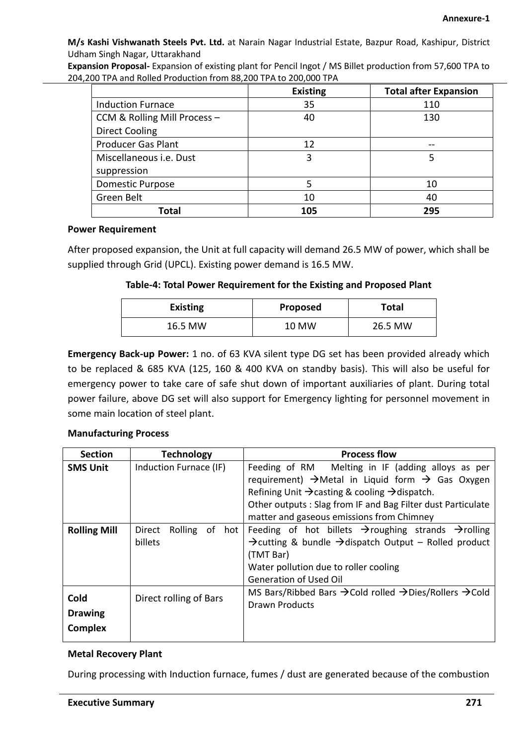**Expansion Proposal-** Expansion of existing plant for Pencil Ingot / MS Billet production from 57,600 TPA to 204,200 TPA and Rolled Production from 88,200 TPA to 200,000 TPA

|                              | <b>Existing</b> | <b>Total after Expansion</b> |
|------------------------------|-----------------|------------------------------|
| <b>Induction Furnace</b>     | 35              | 110                          |
| CCM & Rolling Mill Process - | 40              | 130                          |
| <b>Direct Cooling</b>        |                 |                              |
| <b>Producer Gas Plant</b>    | 12              |                              |
| Miscellaneous i.e. Dust      | 3               | 5                            |
| suppression                  |                 |                              |
| <b>Domestic Purpose</b>      | 5               | 10                           |
| Green Belt                   | 10              | 40                           |
| Total                        | 105             | 295                          |

#### **Power Requirement**

After proposed expansion, the Unit at full capacity will demand 26.5 MW of power, which shall be supplied through Grid (UPCL). Existing power demand is 16.5 MW.

#### **Table-4: Total Power Requirement for the Existing and Proposed Plant**

| <b>Existing</b> | Proposed | Total   |
|-----------------|----------|---------|
| 16.5 MW         | 10 MW    | 26.5 MW |

**Emergency Back-up Power:** 1 no. of 63 KVA silent type DG set has been provided already which to be replaced & 685 KVA (125, 160 & 400 KVA on standby basis). This will also be useful for emergency power to take care of safe shut down of important auxiliaries of plant. During total power failure, above DG set will also support for Emergency lighting for personnel movement in some main location of steel plant.

#### **Manufacturing Process**

| <b>Section</b>                           | <b>Technology</b>                      | <b>Process flow</b>                                                                                                                                                                                                                                                                                                 |  |  |  |  |
|------------------------------------------|----------------------------------------|---------------------------------------------------------------------------------------------------------------------------------------------------------------------------------------------------------------------------------------------------------------------------------------------------------------------|--|--|--|--|
| <b>SMS Unit</b>                          | Induction Furnace (IF)                 | Feeding of RM Melting in IF (adding alloys as per<br>requirement) $\rightarrow$ Metal in Liquid form $\rightarrow$ Gas Oxygen<br>Refining Unit $\rightarrow$ casting & cooling $\rightarrow$ dispatch.<br>Other outputs : Slag from IF and Bag Filter dust Particulate<br>matter and gaseous emissions from Chimney |  |  |  |  |
| <b>Rolling Mill</b>                      | Rolling<br>of hot<br>Direct<br>billets | Feeding of hot billets $\rightarrow$ roughing strands $\rightarrow$ rolling<br>$\rightarrow$ cutting & bundle $\rightarrow$ dispatch Output – Rolled product<br>(TMT Bar)<br>Water pollution due to roller cooling<br>Generation of Used Oil                                                                        |  |  |  |  |
| Cold<br><b>Drawing</b><br><b>Complex</b> | Direct rolling of Bars                 | MS Bars/Ribbed Bars $\rightarrow$ Cold rolled $\rightarrow$ Dies/Rollers $\rightarrow$ Cold<br>Drawn Products                                                                                                                                                                                                       |  |  |  |  |

#### **Metal Recovery Plant**

During processing with Induction furnace, fumes / dust are generated because of the combustion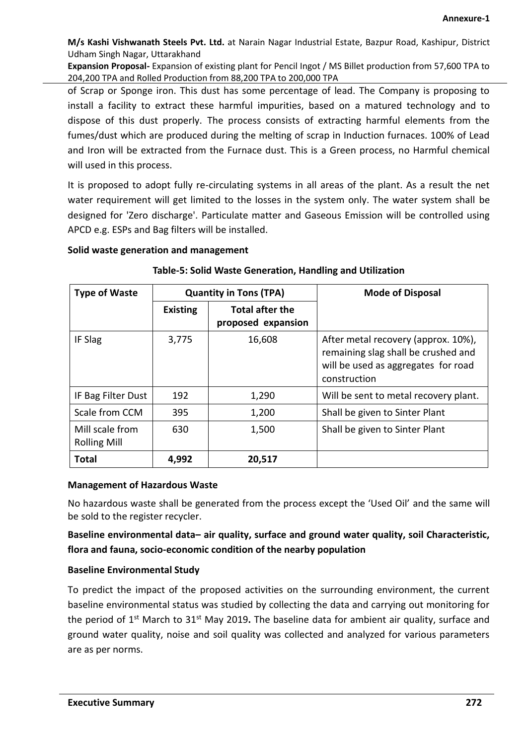**Expansion Proposal-** Expansion of existing plant for Pencil Ingot / MS Billet production from 57,600 TPA to 204,200 TPA and Rolled Production from 88,200 TPA to 200,000 TPA

of Scrap or Sponge iron. This dust has some percentage of lead. The Company is proposing to install a facility to extract these harmful impurities, based on a matured technology and to dispose of this dust properly. The process consists of extracting harmful elements from the fumes/dust which are produced during the melting of scrap in Induction furnaces. 100% of Lead and Iron will be extracted from the Furnace dust. This is a Green process, no Harmful chemical will used in this process.

It is proposed to adopt fully re-circulating systems in all areas of the plant. As a result the net water requirement will get limited to the losses in the system only. The water system shall be designed for 'Zero discharge'. Particulate matter and Gaseous Emission will be controlled using APCD e.g. ESPs and Bag filters will be installed.

#### **Solid waste generation and management**

| <b>Type of Waste</b>                   | <b>Quantity in Tons (TPA)</b> |                                              | <b>Mode of Disposal</b>                                                                                                           |
|----------------------------------------|-------------------------------|----------------------------------------------|-----------------------------------------------------------------------------------------------------------------------------------|
|                                        | <b>Existing</b>               | <b>Total after the</b><br>proposed expansion |                                                                                                                                   |
| IF Slag                                | 3,775                         | 16,608                                       | After metal recovery (approx. 10%),<br>remaining slag shall be crushed and<br>will be used as aggregates for road<br>construction |
| IF Bag Filter Dust                     | 192                           | 1,290                                        | Will be sent to metal recovery plant.                                                                                             |
| Scale from CCM                         | 395                           | 1,200                                        | Shall be given to Sinter Plant                                                                                                    |
| Mill scale from<br><b>Rolling Mill</b> | 630                           | 1,500                                        | Shall be given to Sinter Plant                                                                                                    |
| <b>Total</b>                           | 4,992                         | 20,517                                       |                                                                                                                                   |

#### **Table-5: Solid Waste Generation, Handling and Utilization**

#### **Management of Hazardous Waste**

No hazardous waste shall be generated from the process except the 'Used Oil' and the same will be sold to the register recycler.

**Baseline environmental data– air quality, surface and ground water quality, soil Characteristic, flora and fauna, socio-economic condition of the nearby population**

#### **Baseline Environmental Study**

To predict the impact of the proposed activities on the surrounding environment, the current baseline environmental status was studied by collecting the data and carrying out monitoring for the period of 1st March to 31st May 2019**.** The baseline data for ambient air quality, surface and ground water quality, noise and soil quality was collected and analyzed for various parameters are as per norms.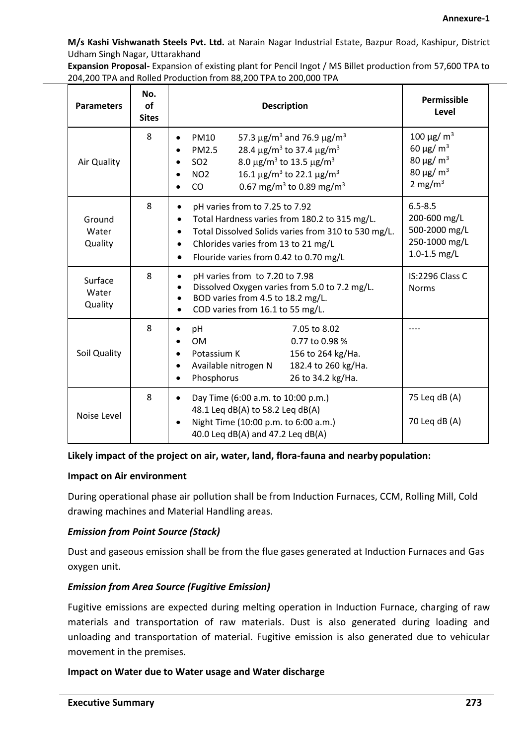**Expansion Proposal-** Expansion of existing plant for Pencil Ingot / MS Billet production from 57,600 TPA to 204,200 TPA and Rolled Production from 88,200 TPA to 200,000 TPA

| <b>Parameters</b>           | No.<br><b>of</b><br><b>Sites</b> | <b>Description</b>                                                                                                                                                                                                                                                                                                                                                           | Permissible<br>Level                                                                                                               |
|-----------------------------|----------------------------------|------------------------------------------------------------------------------------------------------------------------------------------------------------------------------------------------------------------------------------------------------------------------------------------------------------------------------------------------------------------------------|------------------------------------------------------------------------------------------------------------------------------------|
| Air Quality                 | 8                                | 57.3 $\mu$ g/m <sup>3</sup> and 76.9 $\mu$ g/m <sup>3</sup><br><b>PM10</b><br>28.4 $\mu$ g/m <sup>3</sup> to 37.4 $\mu$ g/m <sup>3</sup><br>PM2.5<br>8.0 $\mu$ g/m <sup>3</sup> to 13.5 $\mu$ g/m <sup>3</sup><br>SO <sub>2</sub><br>16.1 $\mu$ g/m <sup>3</sup> to 22.1 $\mu$ g/m <sup>3</sup><br>NO <sub>2</sub><br>0.67 mg/m <sup>3</sup> to 0.89 mg/m <sup>3</sup><br>CO | 100 $\mu$ g/ m <sup>3</sup><br>60 $\mu$ g/ m <sup>3</sup><br>80 μg/ m <sup>3</sup><br>80 μg/ m <sup>3</sup><br>2 mg/m <sup>3</sup> |
| Ground<br>Water<br>Quality  | 8                                | pH varies from to 7.25 to 7.92<br>Total Hardness varies from 180.2 to 315 mg/L.<br>Total Dissolved Solids varies from 310 to 530 mg/L.<br>Chlorides varies from 13 to 21 mg/L<br>Flouride varies from 0.42 to 0.70 mg/L<br>$\bullet$                                                                                                                                         | $6.5 - 8.5$<br>200-600 mg/L<br>500-2000 mg/L<br>250-1000 mg/L<br>1.0-1.5 $mg/L$                                                    |
| Surface<br>Water<br>Quality | 8                                | pH varies from to 7.20 to 7.98<br>Dissolved Oxygen varies from 5.0 to 7.2 mg/L.<br>BOD varies from 4.5 to 18.2 mg/L.<br>COD varies from 16.1 to 55 mg/L.                                                                                                                                                                                                                     | IS:2296 Class C<br><b>Norms</b>                                                                                                    |
| Soil Quality                | 8                                | pH<br>7.05 to 8.02<br><b>OM</b><br>0.77 to 0.98 %<br>Potassium K<br>156 to 264 kg/Ha.<br>182.4 to 260 kg/Ha.<br>Available nitrogen N<br>Phosphorus<br>26 to 34.2 kg/Ha.                                                                                                                                                                                                      |                                                                                                                                    |
| Noise Level                 | 8                                | Day Time (6:00 a.m. to 10:00 p.m.)<br>48.1 Leg dB(A) to 58.2 Leg dB(A)<br>Night Time (10:00 p.m. to 6:00 a.m.)<br>40.0 Leg dB(A) and 47.2 Leg dB(A)                                                                                                                                                                                                                          | 75 Leg dB (A)<br>70 Leq dB (A)                                                                                                     |

#### **Likely impact of the project on air, water, land, flora-fauna and nearby population:**

#### **Impact on Air environment**

During operational phase air pollution shall be from Induction Furnaces, CCM, Rolling Mill, Cold drawing machines and Material Handling areas.

#### *Emission from Point Source (Stack)*

Dust and gaseous emission shall be from the flue gases generated at Induction Furnaces and Gas oxygen unit.

#### *Emission from Area Source (Fugitive Emission)*

Fugitive emissions are expected during melting operation in Induction Furnace, charging of raw materials and transportation of raw materials. Dust is also generated during loading and unloading and transportation of material. Fugitive emission is also generated due to vehicular movement in the premises.

#### **Impact on Water due to Water usage and Water discharge**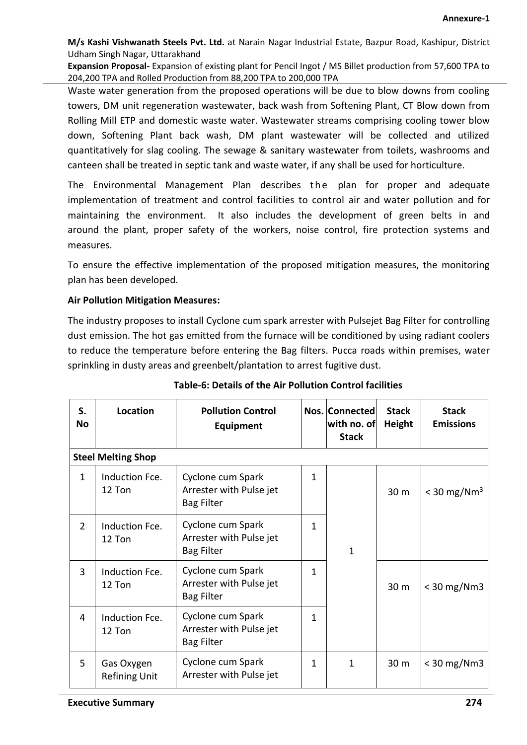**Expansion Proposal-** Expansion of existing plant for Pencil Ingot / MS Billet production from 57,600 TPA to 204,200 TPA and Rolled Production from 88,200 TPA to 200,000 TPA

Waste water generation from the proposed operations will be due to blow downs from cooling towers, DM unit regeneration wastewater, back wash from Softening Plant, CT Blow down from Rolling Mill ETP and domestic waste water. Wastewater streams comprising cooling tower blow down, Softening Plant back wash, DM plant wastewater will be collected and utilized quantitatively for slag cooling. The sewage & sanitary wastewater from toilets, washrooms and canteen shall be treated in septic tank and waste water, if any shall be used for horticulture.

The Environmental Management Plan describes the plan for proper and adequate implementation of treatment and control facilities to control air and water pollution and for maintaining the environment. It also includes the development of green belts in and around the plant, proper safety of the workers, noise control, fire protection systems and measures.

To ensure the effective implementation of the proposed mitigation measures, the monitoring plan has been developed.

#### **Air Pollution Mitigation Measures:**

The industry proposes to install Cyclone cum spark arrester with Pulsejet Bag Filter for controlling dust emission. The hot gas emitted from the furnace will be conditioned by using radiant coolers to reduce the temperature before entering the Bag filters. Pucca roads within premises, water sprinkling in dusty areas and greenbelt/plantation to arrest fugitive dust.

| S.<br>No       | <b>Location</b>                    | <b>Pollution Control</b><br>Equipment                             |   | Nos. Connected<br>with no. of<br><b>Stack</b> | <b>Stack</b><br>Height | <b>Stack</b><br><b>Emissions</b> |
|----------------|------------------------------------|-------------------------------------------------------------------|---|-----------------------------------------------|------------------------|----------------------------------|
|                | <b>Steel Melting Shop</b>          |                                                                   |   |                                               |                        |                                  |
| $\mathbf{1}$   | Induction Fce.<br>12 Ton           | Cyclone cum Spark<br>Arrester with Pulse jet<br><b>Bag Filter</b> | 1 |                                               | 30 <sub>m</sub>        | $<$ 30 mg/Nm <sup>3</sup>        |
| $\overline{2}$ | Induction Fce.<br>12 Ton           | Cyclone cum Spark<br>Arrester with Pulse jet<br><b>Bag Filter</b> | 1 | $\mathbf 1$                                   |                        |                                  |
| $\overline{3}$ | Induction Fce.<br>12 Ton           | Cyclone cum Spark<br>Arrester with Pulse jet<br><b>Bag Filter</b> | 1 |                                               | 30 m                   | $<$ 30 mg/Nm3                    |
| 4              | Induction Fce.<br>12 Ton           | Cyclone cum Spark<br>Arrester with Pulse jet<br><b>Bag Filter</b> | 1 |                                               |                        |                                  |
| 5              | Gas Oxygen<br><b>Refining Unit</b> | Cyclone cum Spark<br>Arrester with Pulse jet                      | 1 | $\mathbf{1}$                                  | 30 m                   | $<$ 30 mg/Nm3                    |

## **Table-6: Details of the Air Pollution Control facilities**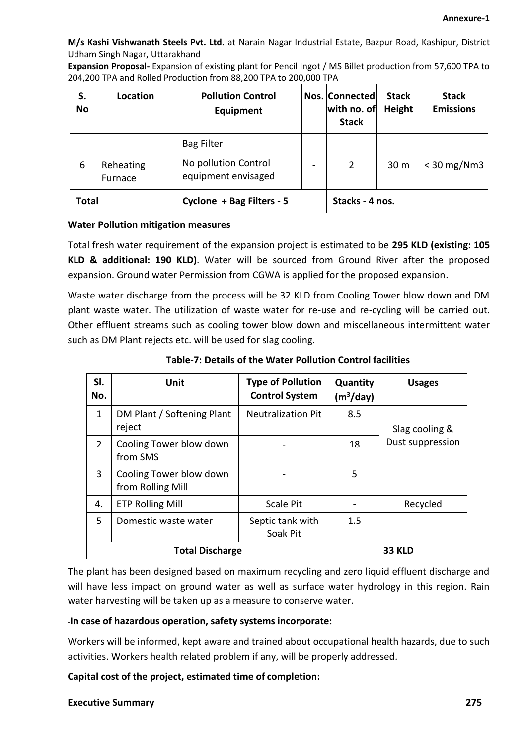**Expansion Proposal-** Expansion of existing plant for Pencil Ingot / MS Billet production from 57,600 TPA to 204,200 TPA and Rolled Production from 88,200 TPA to 200,000 TPA

| S.<br><b>No</b>                                              | Location             | <b>Pollution Control</b><br>Equipment       | Nos. Connected<br>with no. of<br><b>Stack</b> | <b>Stack</b><br>Height | <b>Stack</b><br><b>Emissions</b> |
|--------------------------------------------------------------|----------------------|---------------------------------------------|-----------------------------------------------|------------------------|----------------------------------|
|                                                              |                      | <b>Bag Filter</b>                           |                                               |                        |                                  |
| 6                                                            | Reheating<br>Furnace | No pollution Control<br>equipment envisaged | 2                                             | 30 m                   | $<$ 30 mg/Nm3                    |
| <b>Total</b><br>Cyclone + Bag Filters - 5<br>Stacks - 4 nos. |                      |                                             |                                               |                        |                                  |

#### **Water Pollution mitigation measures**

Total fresh water requirement of the expansion project is estimated to be **295 KLD (existing: 105 KLD & additional: 190 KLD)**. Water will be sourced from Ground River after the proposed expansion. Ground water Permission from CGWA is applied for the proposed expansion.

Waste water discharge from the process will be 32 KLD from Cooling Tower blow down and DM plant waste water. The utilization of waste water for re-use and re-cycling will be carried out. Other effluent streams such as cooling tower blow down and miscellaneous intermittent water such as DM Plant rejects etc. will be used for slag cooling.

| SI.<br>No.     | Unit                                         | <b>Type of Pollution</b><br><b>Control System</b> | Quantity<br>(m <sup>3</sup> /day) | <b>Usages</b>    |
|----------------|----------------------------------------------|---------------------------------------------------|-----------------------------------|------------------|
| $\mathbf{1}$   | DM Plant / Softening Plant<br>reject         | <b>Neutralization Pit</b>                         | 8.5                               | Slag cooling &   |
| $\overline{2}$ | Cooling Tower blow down<br>from SMS          |                                                   | 18                                | Dust suppression |
| 3              | Cooling Tower blow down<br>from Rolling Mill |                                                   | 5                                 |                  |
| 4.             | <b>ETP Rolling Mill</b>                      | <b>Scale Pit</b>                                  |                                   | Recycled         |
| 5.             | Domestic waste water                         | Septic tank with<br>Soak Pit                      | 1.5                               |                  |
|                | <b>Total Discharge</b>                       |                                                   | <b>33 KLD</b>                     |                  |

**Table-7: Details of the Water Pollution Control facilities** 

The plant has been designed based on maximum recycling and zero liquid effluent discharge and will have less impact on ground water as well as surface water hydrology in this region. Rain water harvesting will be taken up as a measure to conserve water.

#### **In case of hazardous operation, safety systems incorporate:**

Workers will be informed, kept aware and trained about occupational health hazards, due to such activities. Workers health related problem if any, will be properly addressed.

**Capital cost of the project, estimated time of completion:**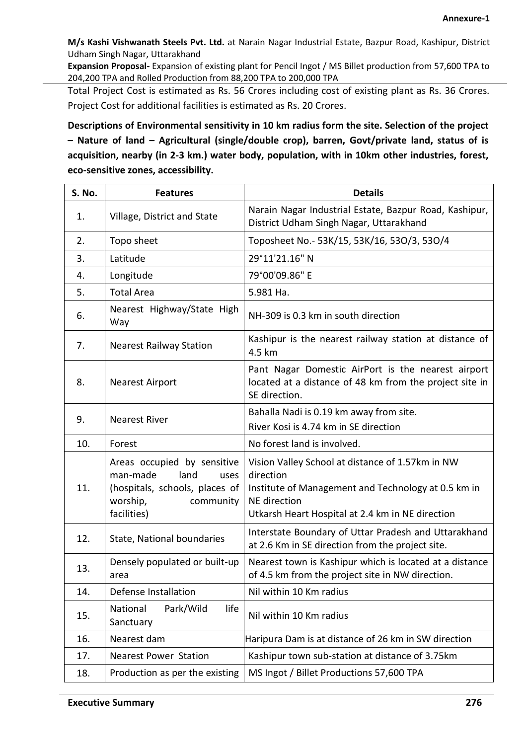**Expansion Proposal-** Expansion of existing plant for Pencil Ingot / MS Billet production from 57,600 TPA to 204,200 TPA and Rolled Production from 88,200 TPA to 200,000 TPA

Total Project Cost is estimated as Rs. 56 Crores including cost of existing plant as Rs. 36 Crores. Project Cost for additional facilities is estimated as Rs. 20 Crores.

**Descriptions of Environmental sensitivity in 10 km radius form the site. Selection of the project – Nature of land – Agricultural (single/double crop), barren, Govt/private land, status of is acquisition, nearby (in 2-3 km.) water body, population, with in 10km other industries, forest, eco-sensitive zones, accessibility.**

| <b>S. No.</b> | <b>Features</b>                                                                                                                   | <b>Details</b>                                                                                                                                                                           |
|---------------|-----------------------------------------------------------------------------------------------------------------------------------|------------------------------------------------------------------------------------------------------------------------------------------------------------------------------------------|
| 1.            | Village, District and State                                                                                                       | Narain Nagar Industrial Estate, Bazpur Road, Kashipur,<br>District Udham Singh Nagar, Uttarakhand                                                                                        |
| 2.            | Topo sheet                                                                                                                        | Toposheet No.- 53K/15, 53K/16, 53O/3, 53O/4                                                                                                                                              |
| 3.            | Latitude                                                                                                                          | 29°11'21.16" N                                                                                                                                                                           |
| 4.            | Longitude                                                                                                                         | 79°00'09.86" E                                                                                                                                                                           |
| 5.            | <b>Total Area</b>                                                                                                                 | 5.981 Ha.                                                                                                                                                                                |
| 6.            | Nearest Highway/State High<br>Way                                                                                                 | NH-309 is 0.3 km in south direction                                                                                                                                                      |
| 7.            | <b>Nearest Railway Station</b>                                                                                                    | Kashipur is the nearest railway station at distance of<br>4.5 km                                                                                                                         |
| 8.            | <b>Nearest Airport</b>                                                                                                            | Pant Nagar Domestic AirPort is the nearest airport<br>located at a distance of 48 km from the project site in<br>SE direction.                                                           |
| 9.            | <b>Nearest River</b>                                                                                                              | Bahalla Nadi is 0.19 km away from site.<br>River Kosi is 4.74 km in SE direction                                                                                                         |
| 10.           | Forest                                                                                                                            | No forest land is involved.                                                                                                                                                              |
| 11.           | Areas occupied by sensitive<br>man-made<br>land<br>uses<br>(hospitals, schools, places of<br>worship,<br>community<br>facilities) | Vision Valley School at distance of 1.57km in NW<br>direction<br>Institute of Management and Technology at 0.5 km in<br>NE direction<br>Utkarsh Heart Hospital at 2.4 km in NE direction |
| 12.           | State, National boundaries                                                                                                        | Interstate Boundary of Uttar Pradesh and Uttarakhand<br>at 2.6 Km in SE direction from the project site.                                                                                 |
| 13.           | Densely populated or built-up<br>area                                                                                             | Nearest town is Kashipur which is located at a distance<br>of 4.5 km from the project site in NW direction.                                                                              |
| 14.           | Defense Installation                                                                                                              | Nil within 10 Km radius                                                                                                                                                                  |
| 15.           | life<br>National<br>Park/Wild<br>Sanctuary                                                                                        | Nil within 10 Km radius                                                                                                                                                                  |
| 16.           | Nearest dam                                                                                                                       | Haripura Dam is at distance of 26 km in SW direction                                                                                                                                     |
| 17.           | <b>Nearest Power Station</b>                                                                                                      | Kashipur town sub-station at distance of 3.75km                                                                                                                                          |
| 18.           | Production as per the existing                                                                                                    | MS Ingot / Billet Productions 57,600 TPA                                                                                                                                                 |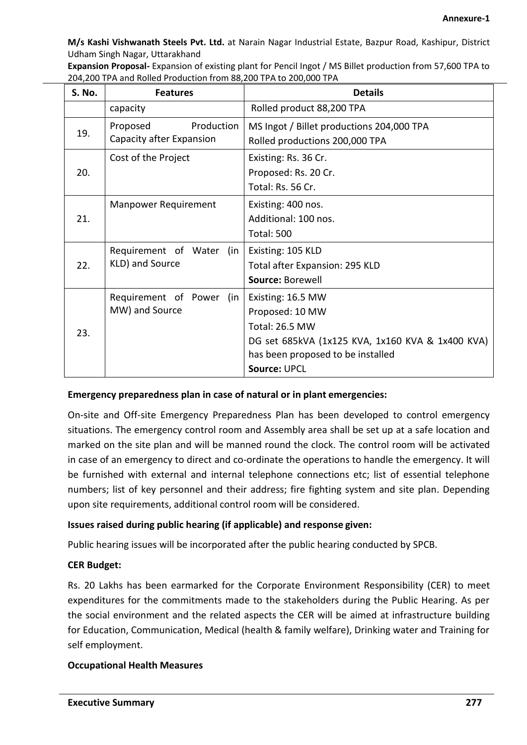**Expansion Proposal-** Expansion of existing plant for Pencil Ingot / MS Billet production from 57,600 TPA to 204,200 TPA and Rolled Production from 88,200 TPA to 200,000 TPA

| S. No. | <b>Features</b>             | <b>Details</b>                                                                        |
|--------|-----------------------------|---------------------------------------------------------------------------------------|
|        | capacity                    | Rolled product 88,200 TPA                                                             |
| 19.    | Proposed<br>Production      | MS Ingot / Billet productions 204,000 TPA                                             |
|        | Capacity after Expansion    | Rolled productions 200,000 TPA                                                        |
| 20.    | Cost of the Project         | Existing: Rs. 36 Cr.                                                                  |
|        |                             | Proposed: Rs. 20 Cr.                                                                  |
|        |                             | Total: Rs. 56 Cr.                                                                     |
| 21.    | <b>Manpower Requirement</b> | Existing: 400 nos.                                                                    |
|        |                             | Additional: 100 nos.                                                                  |
|        |                             | <b>Total: 500</b>                                                                     |
| 22.    | Requirement of Water (in    | Existing: 105 KLD                                                                     |
|        | KLD) and Source             | Total after Expansion: 295 KLD                                                        |
|        |                             | Source: Borewell                                                                      |
| 23.    | Requirement of Power (in    | Existing: 16.5 MW                                                                     |
|        | MW) and Source              | Proposed: 10 MW                                                                       |
|        |                             | <b>Total: 26.5 MW</b>                                                                 |
|        |                             | DG set 685kVA (1x125 KVA, 1x160 KVA & 1x400 KVA)<br>has been proposed to be installed |
|        |                             | <b>Source: UPCL</b>                                                                   |

#### **Emergency preparedness plan in case of natural or in plant emergencies:**

On-site and Off-site Emergency Preparedness Plan has been developed to control emergency situations. The emergency control room and Assembly area shall be set up at a safe location and marked on the site plan and will be manned round the clock. The control room will be activated in case of an emergency to direct and co-ordinate the operations to handle the emergency. It will be furnished with external and internal telephone connections etc; list of essential telephone numbers; list of key personnel and their address; fire fighting system and site plan. Depending upon site requirements, additional control room will be considered.

#### **Issues raised during public hearing (if applicable) and response given:**

Public hearing issues will be incorporated after the public hearing conducted by SPCB.

#### **CER Budget:**

Rs. 20 Lakhs has been earmarked for the Corporate Environment Responsibility (CER) to meet expenditures for the commitments made to the stakeholders during the Public Hearing. As per the social environment and the related aspects the CER will be aimed at infrastructure building for Education, Communication, Medical (health & family welfare), Drinking water and Training for self employment.

#### **Occupational Health Measures**